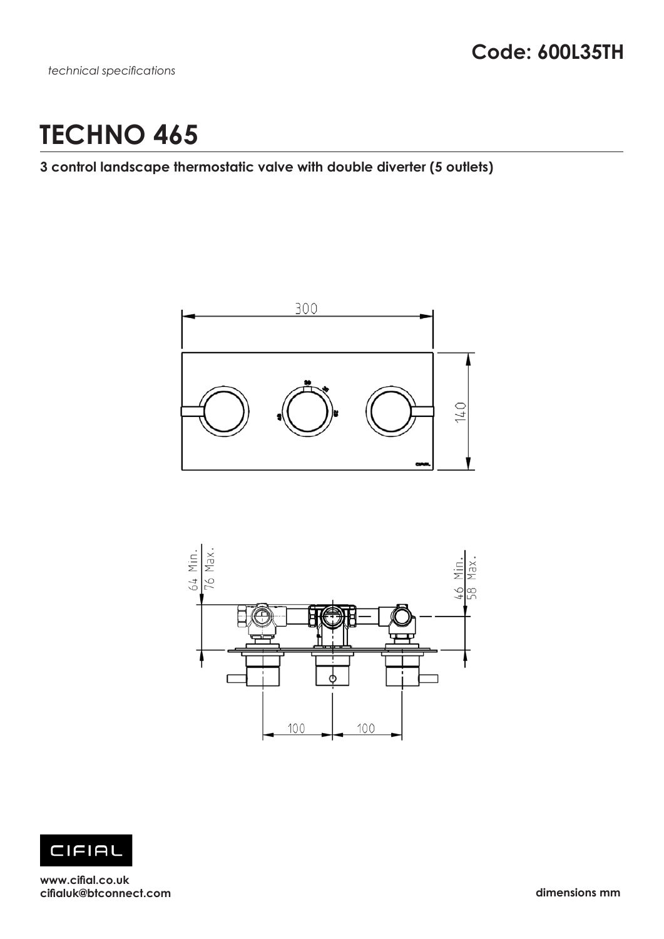# **TECHNO 465**

## **3 control landscape thermostatic valve with double diverter (5 outlets)**







**www.cifial.co.uk cifialuk@btconnect.com dimensions mm**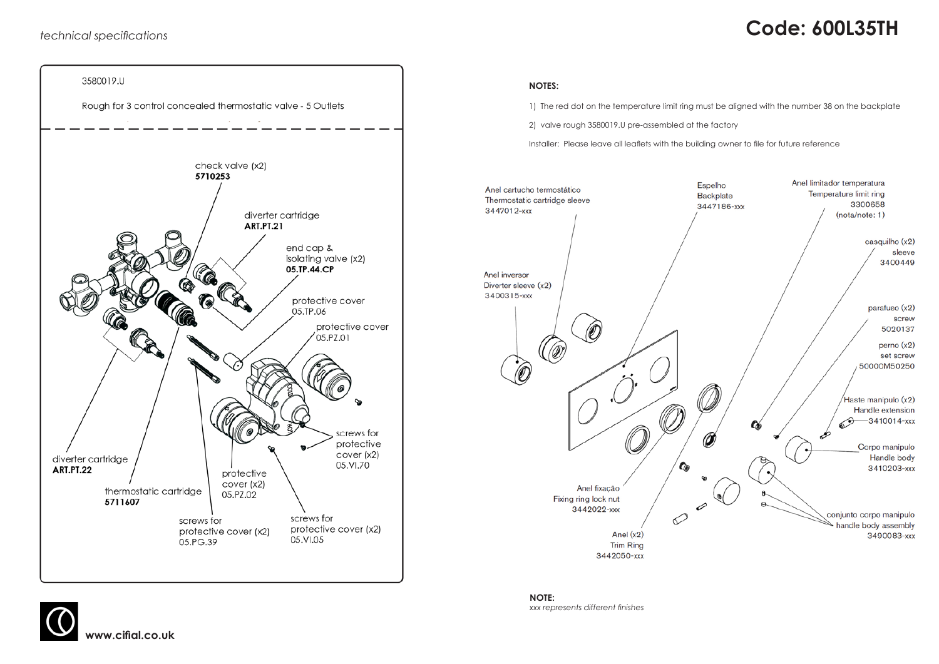**www.cifial.co.uk** 

# *technical specifications* **Code: 600L35TH**



#### **NOTES:**

1) The red dot on the temperature limit ring must be aligned with the number 38 on the backplate

2) valve rough 3580019.U pre-assembled at the factory

Installer: Please leave all leaflets with the building owner to file for future reference



**NOTE:** *xxx represents different finishes*